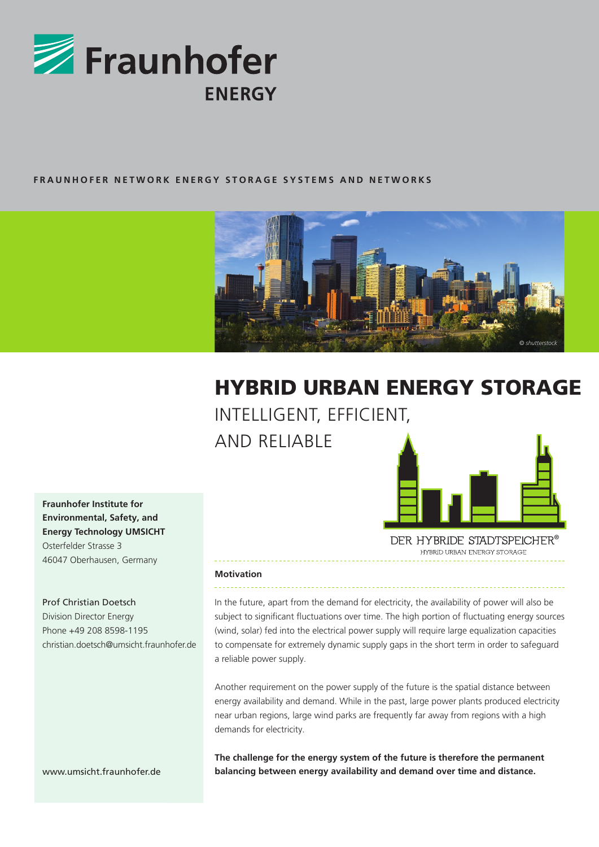

# **FRAUNHOFER NETWORK ENERGY STORAGE SYSTEMS AND NETWORKS**



# HYBRID URBAN ENERGY STORAGE INTELLIGENT, EFFICIENT,

AND RELIABLE



DER HYBRIDE STADTSPEICHER<sup>®</sup> HYBRID URBAN ENFRGY STORAGE

# **Fraunhofer Institute for Environmental, Safety, and Energy Technology UMSICHT** Osterfelder Strasse 3 46047 Oberhausen, Germany

# Prof Christian Doetsch

Division Director Energy Phone +49 208 8598-1195 christian.doetsch@umsicht.fraunhofer.de

www.umsicht.fraunhofer.de

#### **Motivation**

In the future, apart from the demand for electricity, the availability of power will also be subject to significant fluctuations over time. The high portion of fluctuating energy sources (wind, solar) fed into the electrical power supply will require large equalization capacities to compensate for extremely dynamic supply gaps in the short term in order to safeguard a reliable power supply.

Another requirement on the power supply of the future is the spatial distance between energy availability and demand. While in the past, large power plants produced electricity near urban regions, large wind parks are frequently far away from regions with a high demands for electricity.

**The challenge for the energy system of the future is therefore the permanent balancing between energy availability and demand over time and distance.**